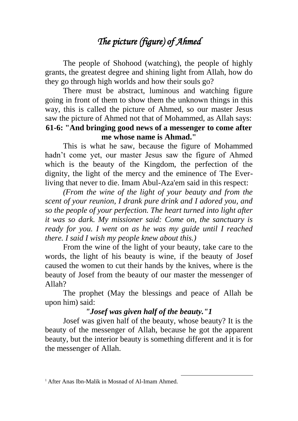## *The picture (figure) of Ahmed*

The people of Shohood (watching), the people of highly grants, the greatest degree and shining light from Allah, how do they go through high worlds and how their souls go?

There must be abstract, luminous and watching figure going in front of them to show them the unknown things in this way, this is called the picture of Ahmed, so our master Jesus saw the picture of Ahmed not that of Mohammed, as Allah says: **61-6: "And bringing good news of a messenger to come after me whose name is Ahmad."**

This is what he saw, because the figure of Mohammed hadn't come yet, our master Jesus saw the figure of Ahmed which is the beauty of the Kingdom, the perfection of the dignity, the light of the mercy and the eminence of The Everliving that never to die. Imam Abul-Aza'em said in this respect:

*(From the wine of the light of your beauty and from the scent of your reunion, I drank pure drink and I adored you, and so the people of your perfection. The heart turned into light after it was so dark. My missioner said: Come on, the sanctuary is ready for you. I went on as he was my guide until I reached there. I said I wish my people knew about this.)*

From the wine of the light of your beauty, take care to the words, the light of his beauty is wine, if the beauty of Josef caused the women to cut their hands by the knives, where is the beauty of Josef from the beauty of our master the messenger of Allah?

The prophet (May the blessings and peace of Allah be upon him) said:

## *"Josef was given half of the beauty."1*

Josef was given half of the beauty, whose beauty? It is the beauty of the messenger of Allah, because he got the apparent beauty, but the interior beauty is something different and it is for the messenger of Allah.

1

<sup>&</sup>lt;sup>1</sup> After Anas Ibn-Malik in Mosnad of Al-Imam Ahmed.